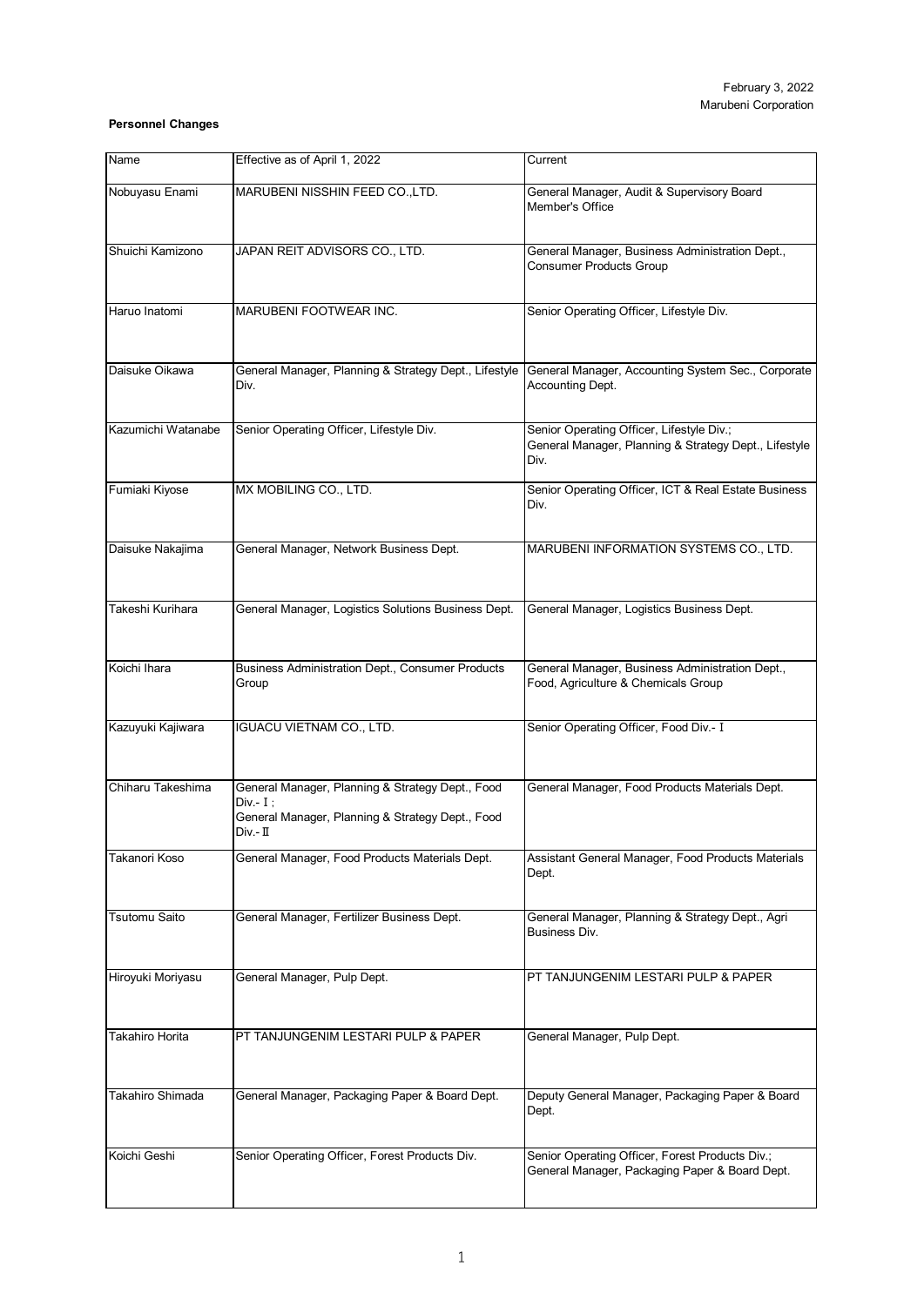## **Personnel Changes**

| Name                 | Effective as of April 1, 2022                                                                                                      | Current                                                                                                    |
|----------------------|------------------------------------------------------------------------------------------------------------------------------------|------------------------------------------------------------------------------------------------------------|
|                      |                                                                                                                                    |                                                                                                            |
| Nobuyasu Enami       | MARUBENI NISSHIN FEED CO., LTD.                                                                                                    | General Manager, Audit & Supervisory Board<br>Member's Office                                              |
| Shuichi Kamizono     | JAPAN REIT ADVISORS CO., LTD.                                                                                                      | General Manager, Business Administration Dept.,<br><b>Consumer Products Group</b>                          |
| Haruo Inatomi        | MARUBENI FOOTWEAR INC.                                                                                                             | Senior Operating Officer, Lifestyle Div.                                                                   |
| Daisuke Oikawa       | General Manager, Planning & Strategy Dept., Lifestyle<br>Div.                                                                      | General Manager, Accounting System Sec., Corporate<br>Accounting Dept.                                     |
| Kazumichi Watanabe   | Senior Operating Officer, Lifestyle Div.                                                                                           | Senior Operating Officer, Lifestyle Div.;<br>General Manager, Planning & Strategy Dept., Lifestyle<br>Div. |
| Fumiaki Kiyose       | MX MOBILING CO., LTD.                                                                                                              | Senior Operating Officer, ICT & Real Estate Business<br>Div.                                               |
| Daisuke Nakajima     | General Manager, Network Business Dept.                                                                                            | MARUBENI INFORMATION SYSTEMS CO., LTD.                                                                     |
| Takeshi Kurihara     | General Manager, Logistics Solutions Business Dept.                                                                                | General Manager, Logistics Business Dept.                                                                  |
| Koichi Ihara         | <b>Business Administration Dept., Consumer Products</b><br>Group                                                                   | General Manager, Business Administration Dept.,<br>Food, Agriculture & Chemicals Group                     |
| Kazuyuki Kajiwara    | <b>IGUACU VIETNAM CO., LTD.</b>                                                                                                    | Senior Operating Officer, Food Div.- I                                                                     |
| Chiharu Takeshima    | General Manager, Planning & Strategy Dept., Food<br>$Div - I$ :<br>General Manager, Planning & Strategy Dept., Food<br>$Div. - II$ | General Manager, Food Products Materials Dept.                                                             |
| Takanori Koso        | General Manager, Food Products Materials Dept.                                                                                     | Assistant General Manager, Food Products Materials<br>Dept.                                                |
| <b>Tsutomu Saito</b> | General Manager, Fertilizer Business Dept.                                                                                         | General Manager, Planning & Strategy Dept., Agri<br>Business Div.                                          |
| Hiroyuki Moriyasu    | General Manager, Pulp Dept.                                                                                                        | PT TANJUNGENIM LESTARI PULP & PAPER                                                                        |
| Takahiro Horita      | PT TANJUNGENIM LESTARI PULP & PAPER                                                                                                | General Manager, Pulp Dept.                                                                                |
| Takahiro Shimada     | General Manager, Packaging Paper & Board Dept.                                                                                     | Deputy General Manager, Packaging Paper & Board<br>Dept.                                                   |
| Koichi Geshi         | Senior Operating Officer, Forest Products Div.                                                                                     | Senior Operating Officer, Forest Products Div.;<br>General Manager, Packaging Paper & Board Dept.          |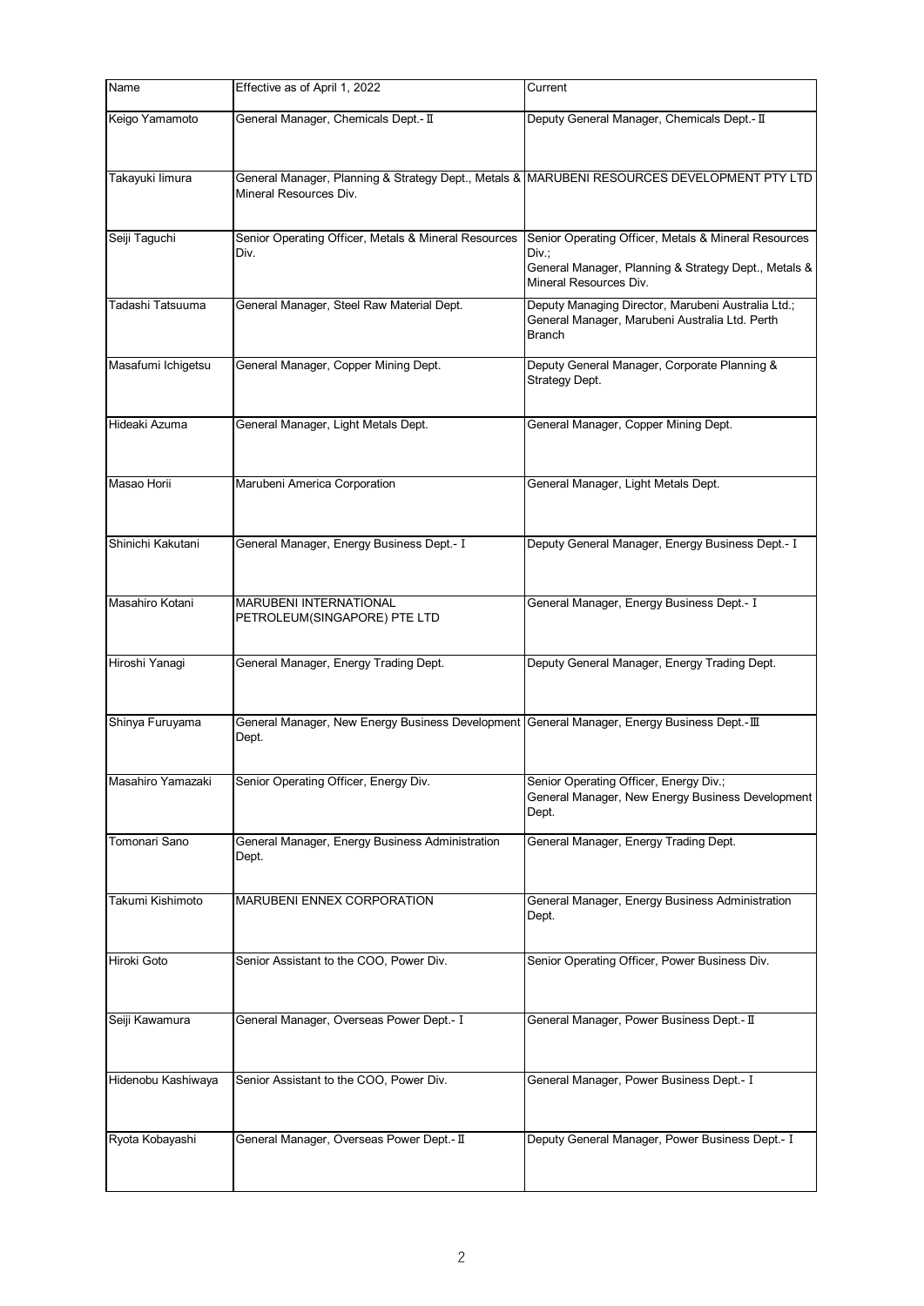| Name               | Effective as of April 1, 2022                                                                       | Current                                                                                                                                         |
|--------------------|-----------------------------------------------------------------------------------------------------|-------------------------------------------------------------------------------------------------------------------------------------------------|
| Keigo Yamamoto     | General Manager, Chemicals Dept.- II                                                                | Deputy General Manager, Chemicals Dept.- II                                                                                                     |
| Takayuki limura    | Mineral Resources Div.                                                                              | General Manager, Planning & Strategy Dept., Metals & MARUBENI RESOURCES DEVELOPMENT PTY LTD                                                     |
| Seiji Taguchi      | Senior Operating Officer, Metals & Mineral Resources<br>Div.                                        | Senior Operating Officer, Metals & Mineral Resources<br>Div.:<br>General Manager, Planning & Strategy Dept., Metals &<br>Mineral Resources Div. |
| Tadashi Tatsuuma   | General Manager, Steel Raw Material Dept.                                                           | Deputy Managing Director, Marubeni Australia Ltd.;<br>General Manager, Marubeni Australia Ltd. Perth<br><b>Branch</b>                           |
| Masafumi Ichigetsu | General Manager, Copper Mining Dept.                                                                | Deputy General Manager, Corporate Planning &<br>Strategy Dept.                                                                                  |
| Hideaki Azuma      | General Manager, Light Metals Dept.                                                                 | General Manager, Copper Mining Dept.                                                                                                            |
| Masao Horii        | Marubeni America Corporation                                                                        | General Manager, Light Metals Dept.                                                                                                             |
| Shinichi Kakutani  | General Manager, Energy Business Dept.- I                                                           | Deputy General Manager, Energy Business Dept.- I                                                                                                |
| Masahiro Kotani    | <b>MARUBENI INTERNATIONAL</b><br>PETROLEUM(SINGAPORE) PTE LTD                                       | General Manager, Energy Business Dept.- I                                                                                                       |
| Hiroshi Yanagi     | General Manager, Energy Trading Dept.                                                               | Deputy General Manager, Energy Trading Dept.                                                                                                    |
| Shinya Furuyama    | General Manager, New Energy Business Development  General Manager, Energy Business Dept.-Ⅲ<br>Dept. |                                                                                                                                                 |
| Masahiro Yamazaki  | Senior Operating Officer, Energy Div.                                                               | Senior Operating Officer, Energy Div.;<br>General Manager, New Energy Business Development<br>Dept.                                             |
| Tomonari Sano      | General Manager, Energy Business Administration<br>Dept.                                            | General Manager, Energy Trading Dept.                                                                                                           |
| Takumi Kishimoto   | MARUBENI ENNEX CORPORATION                                                                          | General Manager, Energy Business Administration<br>Dept.                                                                                        |
| Hiroki Goto        | Senior Assistant to the COO, Power Div.                                                             | Senior Operating Officer, Power Business Div.                                                                                                   |
| Seiji Kawamura     | General Manager, Overseas Power Dept.- I                                                            | General Manager, Power Business Dept.- II                                                                                                       |
| Hidenobu Kashiwaya | Senior Assistant to the COO, Power Div.                                                             | General Manager, Power Business Dept.- I                                                                                                        |
| Ryota Kobayashi    | General Manager, Overseas Power Dept.- II                                                           | Deputy General Manager, Power Business Dept.- I                                                                                                 |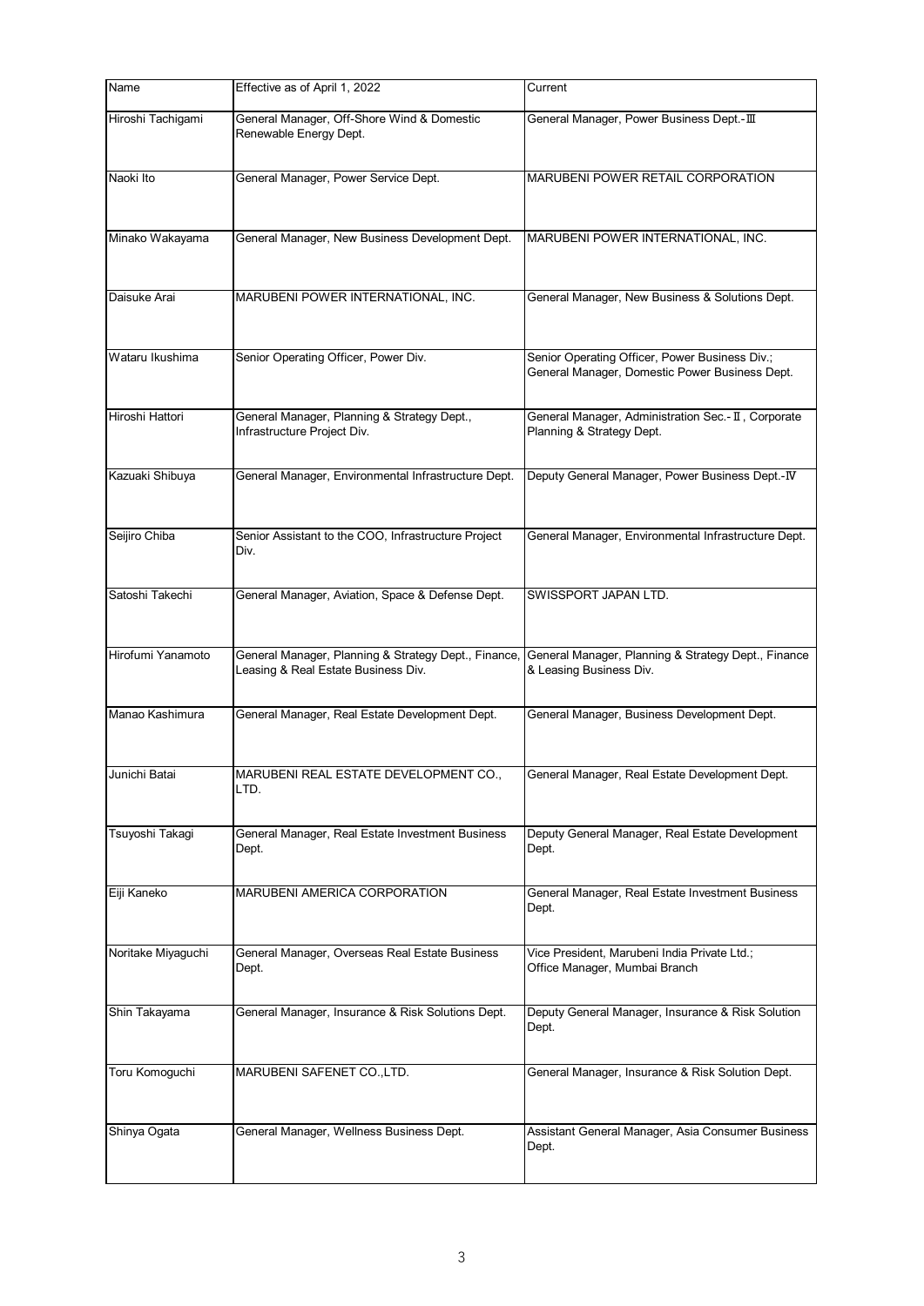| Name               | Effective as of April 1, 2022                                                               | Current                                                                                          |
|--------------------|---------------------------------------------------------------------------------------------|--------------------------------------------------------------------------------------------------|
| Hiroshi Tachigami  | General Manager, Off-Shore Wind & Domestic<br>Renewable Energy Dept.                        | General Manager, Power Business Dept.- III                                                       |
| Naoki Ito          | General Manager, Power Service Dept.                                                        | MARUBENI POWER RETAIL CORPORATION                                                                |
| Minako Wakayama    | General Manager, New Business Development Dept.                                             | MARUBENI POWER INTERNATIONAL, INC.                                                               |
| Daisuke Arai       | MARUBENI POWER INTERNATIONAL, INC.                                                          | General Manager, New Business & Solutions Dept.                                                  |
| Wataru Ikushima    | Senior Operating Officer, Power Div.                                                        | Senior Operating Officer, Power Business Div.;<br>General Manager, Domestic Power Business Dept. |
| Hiroshi Hattori    | General Manager, Planning & Strategy Dept.,<br>Infrastructure Project Div.                  | General Manager, Administration Sec.- II, Corporate<br>Planning & Strategy Dept.                 |
| Kazuaki Shibuya    | General Manager, Environmental Infrastructure Dept.                                         | Deputy General Manager, Power Business Dept.-IV                                                  |
| Seijiro Chiba      | Senior Assistant to the COO, Infrastructure Project<br>Div.                                 | General Manager, Environmental Infrastructure Dept.                                              |
| Satoshi Takechi    | General Manager, Aviation, Space & Defense Dept.                                            | SWISSPORT JAPAN LTD.                                                                             |
| Hirofumi Yanamoto  | General Manager, Planning & Strategy Dept., Finance,<br>Leasing & Real Estate Business Div. | General Manager, Planning & Strategy Dept., Finance<br>& Leasing Business Div.                   |
| Manao Kashimura    | General Manager, Real Estate Development Dept.                                              | General Manager, Business Development Dept.                                                      |
| Junichi Batai      | MARUBENI REAL ESTATE DEVELOPMENT CO.,<br>LTD.                                               | General Manager, Real Estate Development Dept.                                                   |
| Tsuyoshi Takaqi    | General Manager, Real Estate Investment Business<br>Dept.                                   | Deputy General Manager, Real Estate Development<br>Dept.                                         |
| Eiji Kaneko        | MARUBENI AMERICA CORPORATION                                                                | General Manager, Real Estate Investment Business<br>Dept.                                        |
| Noritake Miyaguchi | General Manager, Overseas Real Estate Business<br>Dept.                                     | Vice President, Marubeni India Private Ltd.;<br>Office Manager, Mumbai Branch                    |
| Shin Takayama      | General Manager, Insurance & Risk Solutions Dept.                                           | Deputy General Manager, Insurance & Risk Solution<br>Dept.                                       |
| Toru Komoguchi     | MARUBENI SAFENET CO., LTD.                                                                  | General Manager, Insurance & Risk Solution Dept.                                                 |
| Shinya Ogata       | General Manager, Wellness Business Dept.                                                    | Assistant General Manager, Asia Consumer Business<br>Dept.                                       |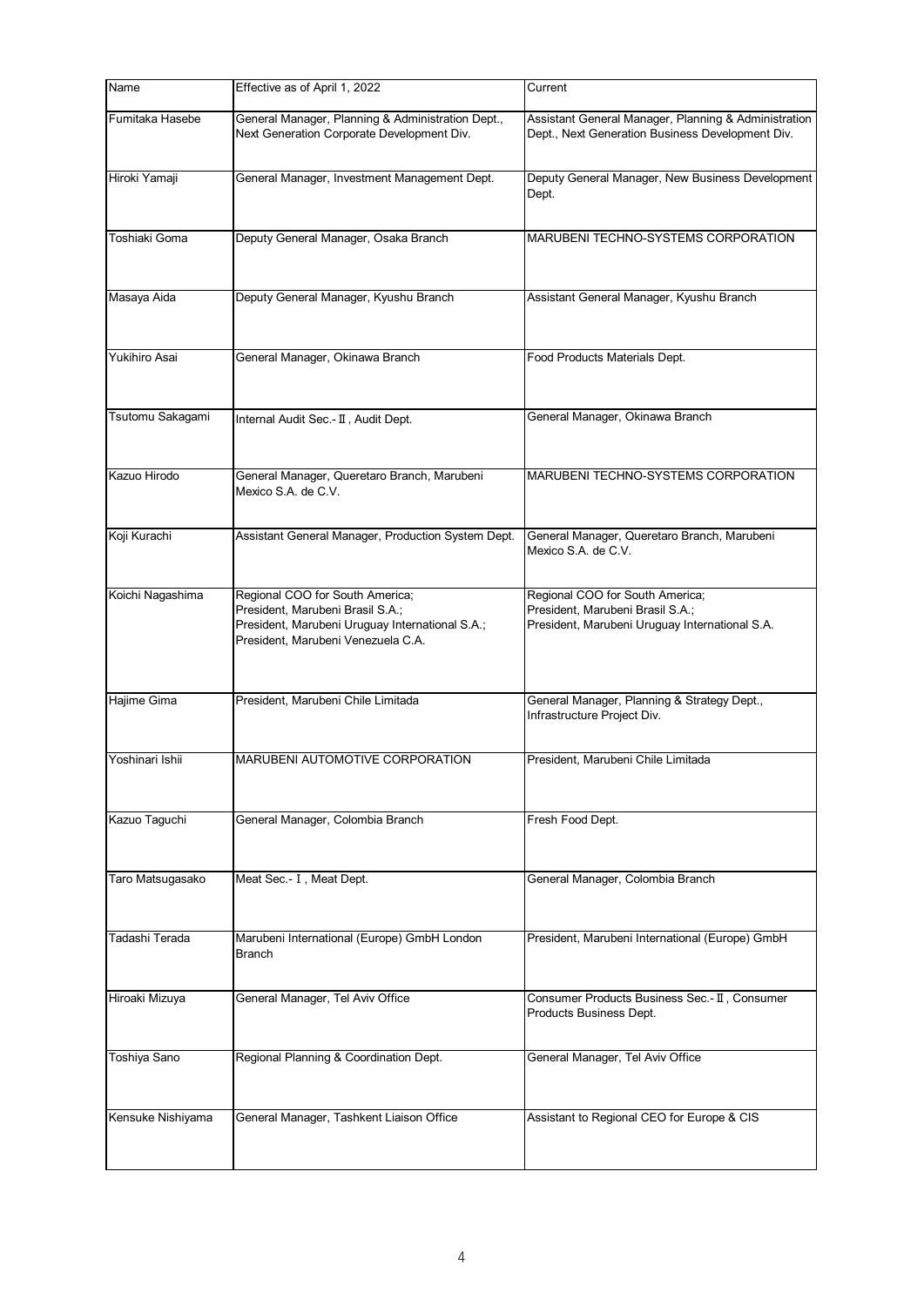| Name              | Effective as of April 1, 2022                                                                                                                                | Current                                                                                                               |
|-------------------|--------------------------------------------------------------------------------------------------------------------------------------------------------------|-----------------------------------------------------------------------------------------------------------------------|
| Fumitaka Hasebe   | General Manager, Planning & Administration Dept.,<br>Next Generation Corporate Development Div.                                                              | Assistant General Manager, Planning & Administration<br>Dept., Next Generation Business Development Div.              |
| Hiroki Yamaji     | General Manager, Investment Management Dept.                                                                                                                 | Deputy General Manager, New Business Development<br>Dept.                                                             |
| Toshiaki Goma     | Deputy General Manager, Osaka Branch                                                                                                                         | MARUBENI TECHNO-SYSTEMS CORPORATION                                                                                   |
| Masaya Aida       | Deputy General Manager, Kyushu Branch                                                                                                                        | Assistant General Manager, Kyushu Branch                                                                              |
| Yukihiro Asai     | General Manager, Okinawa Branch                                                                                                                              | Food Products Materials Dept.                                                                                         |
| Tsutomu Sakagami  | Internal Audit Sec.- II, Audit Dept.                                                                                                                         | General Manager, Okinawa Branch                                                                                       |
| Kazuo Hirodo      | General Manager, Queretaro Branch, Marubeni<br>Mexico S.A. de C.V.                                                                                           | MARUBENI TECHNO-SYSTEMS CORPORATION                                                                                   |
| Koji Kurachi      | Assistant General Manager, Production System Dept.                                                                                                           | General Manager, Queretaro Branch, Marubeni<br>Mexico S.A. de C.V.                                                    |
| Koichi Nagashima  | Regional COO for South America;<br>President, Marubeni Brasil S.A.;<br>President, Marubeni Uruguay International S.A.;<br>President, Marubeni Venezuela C.A. | Regional COO for South America;<br>President, Marubeni Brasil S.A.;<br>President, Marubeni Uruguay International S.A. |
| Hajime Gima       | President, Marubeni Chile Limitada                                                                                                                           | General Manager, Planning & Strategy Dept.,<br>Infrastructure Project Div.                                            |
| Yoshinari Ishii   | MARUBENI AUTOMOTIVE CORPORATION                                                                                                                              | President, Marubeni Chile Limitada                                                                                    |
| Kazuo Taguchi     | General Manager, Colombia Branch                                                                                                                             | Fresh Food Dept.                                                                                                      |
| Taro Matsugasako  | Meat Sec.- I, Meat Dept.                                                                                                                                     | General Manager, Colombia Branch                                                                                      |
| Tadashi Terada    | Marubeni International (Europe) GmbH London<br><b>Branch</b>                                                                                                 | President, Marubeni International (Europe) GmbH                                                                       |
| Hiroaki Mizuya    | General Manager, Tel Aviv Office                                                                                                                             | Consumer Products Business Sec.- II, Consumer<br>Products Business Dept.                                              |
| Toshiya Sano      | Regional Planning & Coordination Dept.                                                                                                                       | General Manager, Tel Aviv Office                                                                                      |
| Kensuke Nishiyama | General Manager, Tashkent Liaison Office                                                                                                                     | Assistant to Regional CEO for Europe & CIS                                                                            |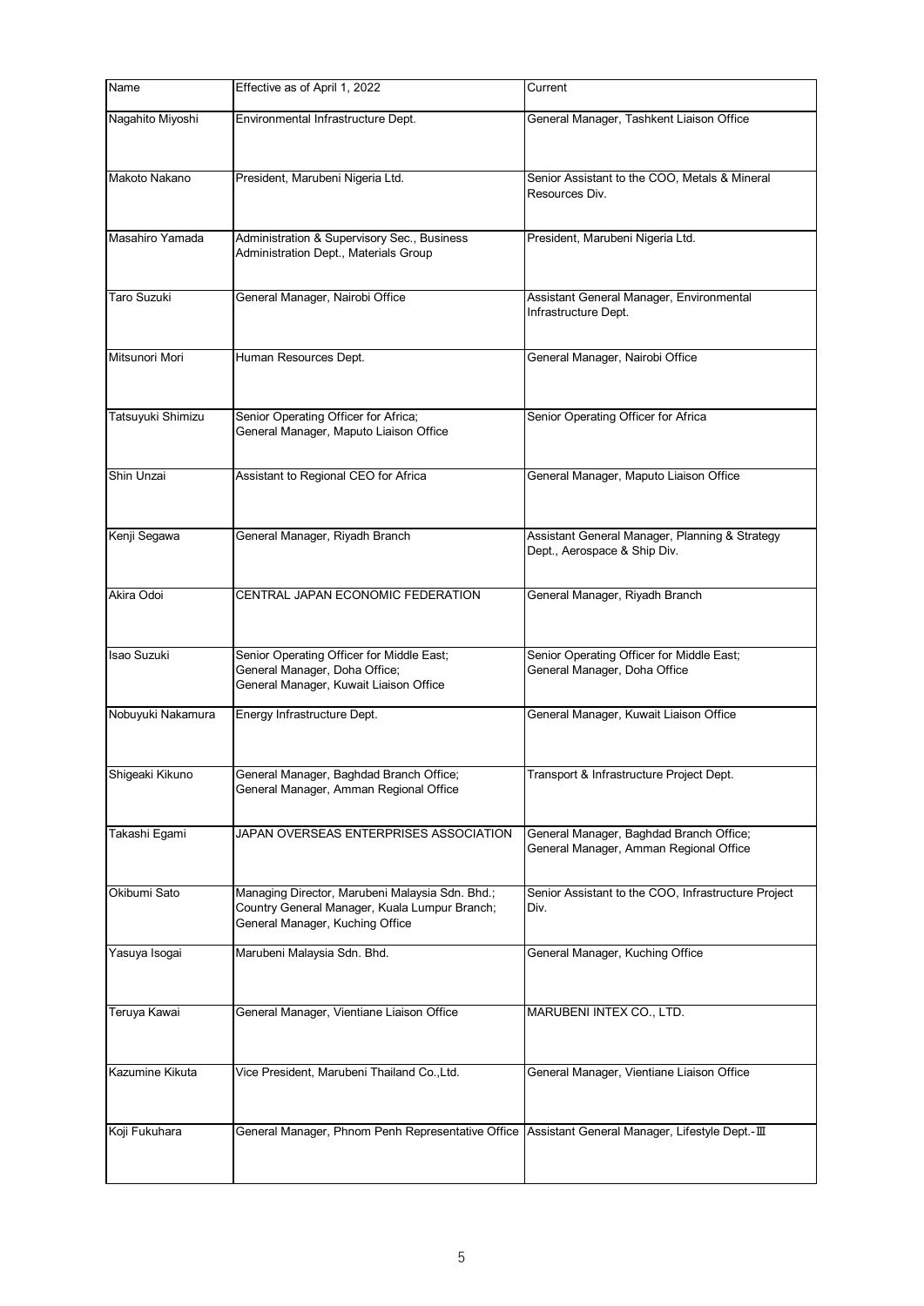| Name               | Effective as of April 1, 2022                                                                                                       | Current                                                                           |
|--------------------|-------------------------------------------------------------------------------------------------------------------------------------|-----------------------------------------------------------------------------------|
| Nagahito Miyoshi   | Environmental Infrastructure Dept.                                                                                                  | General Manager, Tashkent Liaison Office                                          |
| Makoto Nakano      | President, Marubeni Nigeria Ltd.                                                                                                    | Senior Assistant to the COO, Metals & Mineral<br>Resources Div.                   |
| Masahiro Yamada    | Administration & Supervisory Sec., Business<br>Administration Dept., Materials Group                                                | President, Marubeni Nigeria Ltd.                                                  |
| Taro Suzuki        | General Manager, Nairobi Office                                                                                                     | Assistant General Manager, Environmental<br>Infrastructure Dept.                  |
| Mitsunori Mori     | Human Resources Dept.                                                                                                               | General Manager, Nairobi Office                                                   |
| Tatsuyuki Shimizu  | Senior Operating Officer for Africa;<br>General Manager, Maputo Liaison Office                                                      | Senior Operating Officer for Africa                                               |
| Shin Unzai         | Assistant to Regional CEO for Africa                                                                                                | General Manager, Maputo Liaison Office                                            |
| Kenji Segawa       | General Manager, Riyadh Branch                                                                                                      | Assistant General Manager, Planning & Strategy<br>Dept., Aerospace & Ship Div.    |
| Akira Odoi         | CENTRAL JAPAN ECONOMIC FEDERATION                                                                                                   | General Manager, Riyadh Branch                                                    |
| <b>Isao Suzuki</b> | Senior Operating Officer for Middle East;<br>General Manager, Doha Office;<br>General Manager, Kuwait Liaison Office                | Senior Operating Officer for Middle East;<br>General Manager, Doha Office         |
| Nobuyuki Nakamura  | Energy Infrastructure Dept.                                                                                                         | General Manager, Kuwait Liaison Office                                            |
| Shigeaki Kikuno    | General Manager, Baghdad Branch Office;<br>General Manager, Amman Regional Office                                                   | Transport & Infrastructure Project Dept.                                          |
| Takashi Egami      | JAPAN OVERSEAS ENTERPRISES ASSOCIATION                                                                                              | General Manager, Baghdad Branch Office;<br>General Manager, Amman Regional Office |
| Okibumi Sato       | Managing Director, Marubeni Malaysia Sdn. Bhd.;<br>Country General Manager, Kuala Lumpur Branch;<br>General Manager, Kuching Office | Senior Assistant to the COO, Infrastructure Project<br>Div.                       |
| Yasuya Isogai      | Marubeni Malaysia Sdn. Bhd.                                                                                                         | General Manager, Kuching Office                                                   |
| Teruya Kawai       | General Manager, Vientiane Liaison Office                                                                                           | MARUBENI INTEX CO., LTD.                                                          |
| Kazumine Kikuta    | Vice President, Marubeni Thailand Co., Ltd.                                                                                         | General Manager, Vientiane Liaison Office                                         |
| Koji Fukuhara      | General Manager, Phnom Penh Representative Office                                                                                   | Assistant General Manager, Lifestyle Dept.-III                                    |
|                    |                                                                                                                                     |                                                                                   |